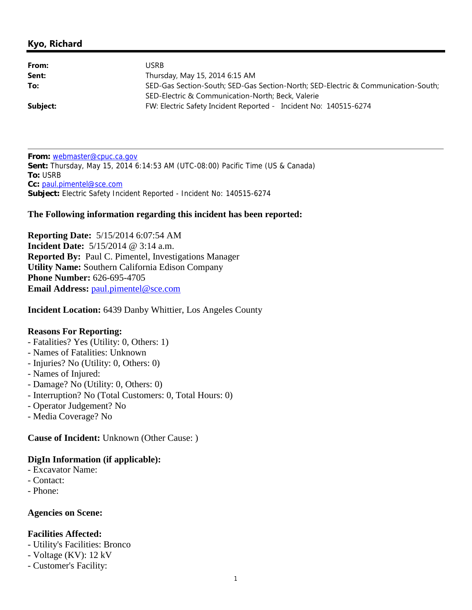## **Kyo, Richard**

| From:    | JSRB                                                                              |
|----------|-----------------------------------------------------------------------------------|
| Sent:    | Thursday, May 15, 2014 6:15 AM                                                    |
| To:      | SED-Gas Section-South; SED-Gas Section-North; SED-Electric & Communication-South; |
|          | SED-Electric & Communication-North; Beck, Valerie                                 |
| Subject: | FW: Electric Safety Incident Reported - Incident No: 140515-6274                  |

**From:** webmaster@cpuc.ca.gov **Sent:** Thursday, May 15, 2014 6:14:53 AM (UTC-08:00) Pacific Time (US & Canada) **To:** USRB **Cc:** paul.pimentel@sce.com **Subject:** Electric Safety Incident Reported - Incident No: 140515-6274

#### **The Following information regarding this incident has been reported:**

**Reporting Date:** 5/15/2014 6:07:54 AM **Incident Date:** 5/15/2014 @ 3:14 a.m. **Reported By:** Paul C. Pimentel, Investigations Manager **Utility Name:** Southern California Edison Company **Phone Number:** 626-695-4705 **Email Address: paul.pimentel@sce.com** 

**Incident Location:** 6439 Danby Whittier, Los Angeles County

#### **Reasons For Reporting:**

- Fatalities? Yes (Utility: 0, Others: 1)
- Names of Fatalities: Unknown
- Injuries? No (Utility: 0, Others: 0)
- Names of Injured:
- Damage? No (Utility: 0, Others: 0)
- Interruption? No (Total Customers: 0, Total Hours: 0)
- Operator Judgement? No
- Media Coverage? No

**Cause of Incident:** Unknown (Other Cause: )

### **DigIn Information (if applicable):**

- Excavator Name:
- Contact:
- Phone:

### **Agencies on Scene:**

### **Facilities Affected:**

- Utility's Facilities: Bronco
- Voltage (KV): 12 kV
- Customer's Facility: